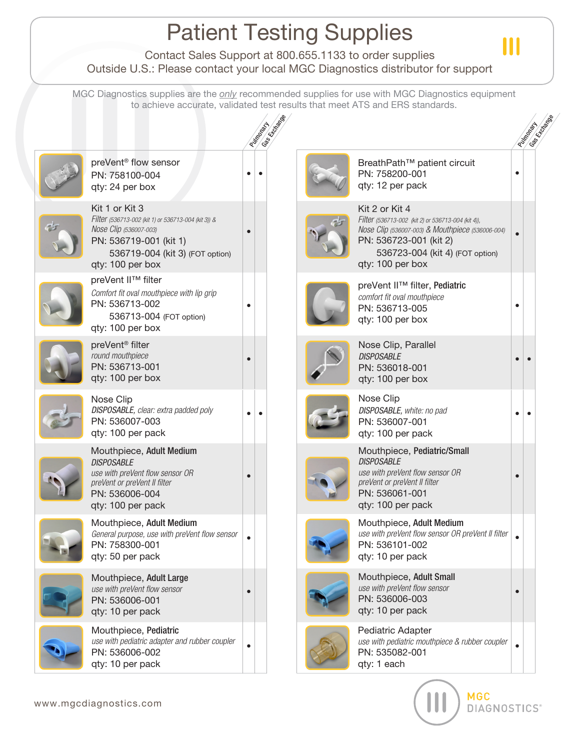## Patient Testing Supplies

Ш

**DIAGNOSTICS®** 

Contact Sales Support at 800.655.1133 to order supplies Outside U.S.: Please contact your local MGC Diagnostics distributor for support

MGC Diagnostics supplies are the *only* recommended supplies for use with MGC Diagnostics equipment to achieve accurate, validated test results that meet ATS and ERS standards.